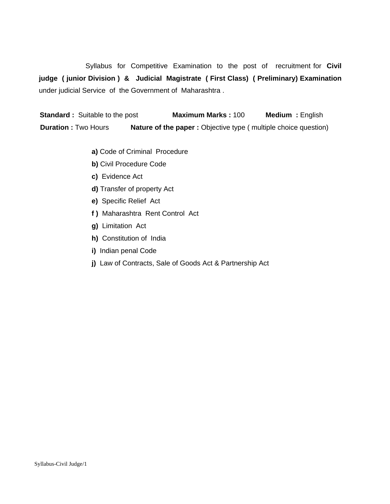Syllabus for Competitive Examination to the post of recruitment for **Civil judge ( junior Division ) & Judicial Magistrate ( First Class) ( Preliminary) Examination** under judicial Service of the Government of Maharashtra .

 **Standard :** Suitable to the post **Maximum Marks :** 100 **Medium :** English **Duration :** Two Hours **Nature of the paper :** Objective type ( multiple choice question)

- **a)** Code of Criminal Procedure
- **b)** Civil Procedure Code
- **c)** Evidence Act
- **d)** Transfer of property Act
- **e)** Specific Relief Act
- **f )** Maharashtra Rent Control Act
- **g)** Limitation Act
- **h)** Constitution of India
- **i)** Indian penal Code
- **j)** Law of Contracts, Sale of Goods Act & Partnership Act